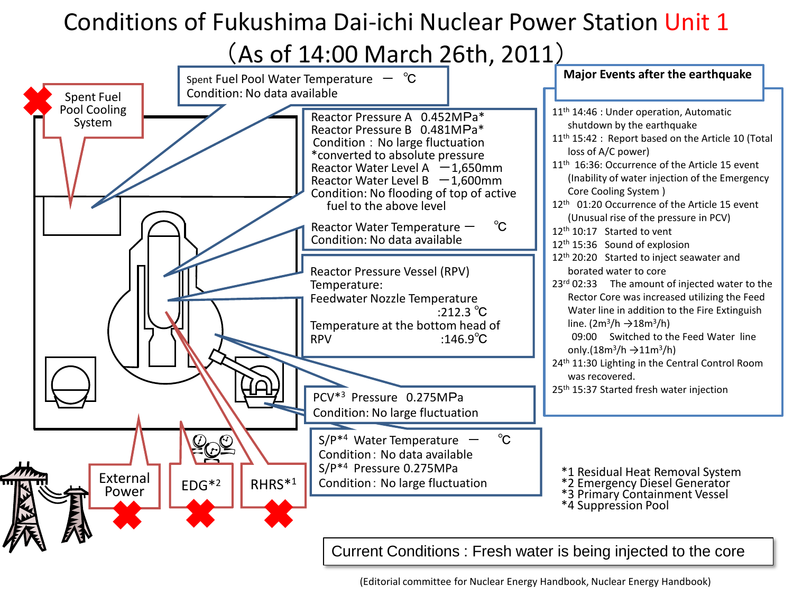#### Conditions of Fukushima Dai-ichi Nuclear Power Station Unit 1

(As of 14:00 March 26th, 2011)

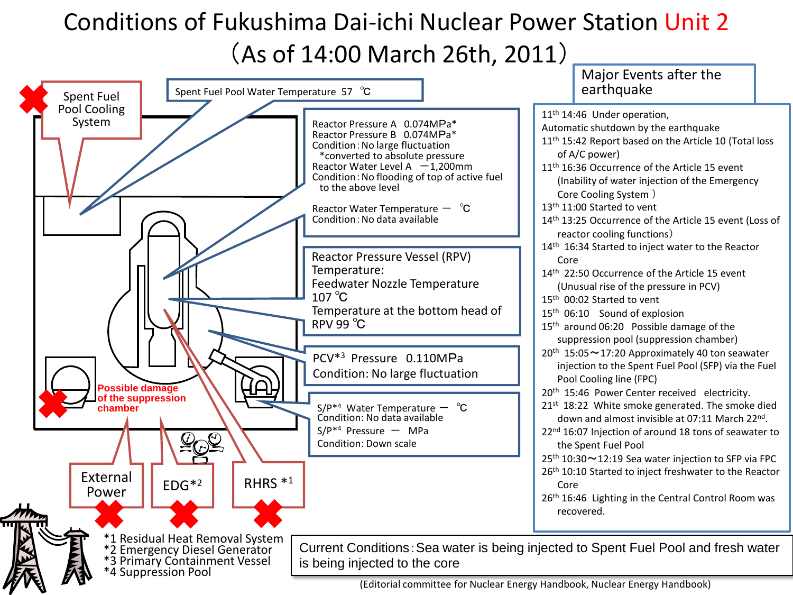## Conditions of Fukushima Dai-ichi Nuclear Power Station Unit 2 (As of 14:00 March 26th, 2011)

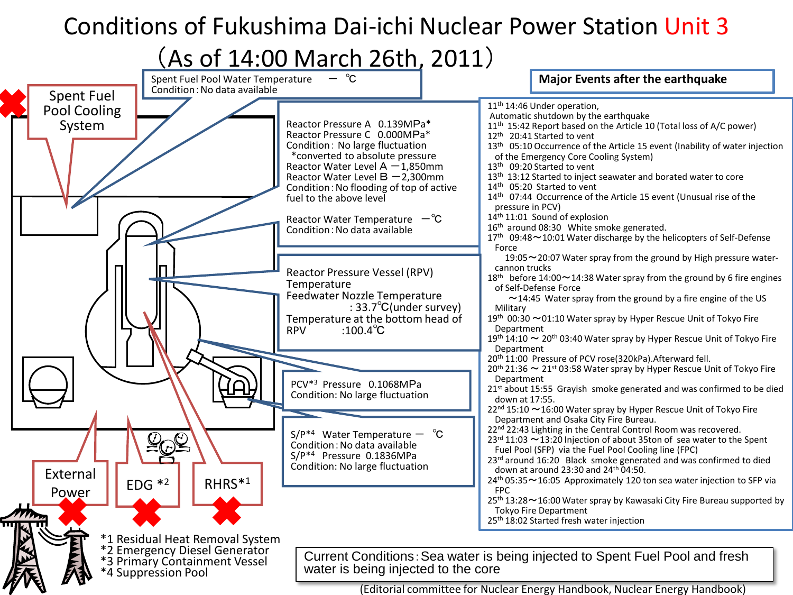# Conditions of Fukushima Dai-ichi Nuclear Power Station Unit 3

### (As of 14:00 March 26th, 2011)

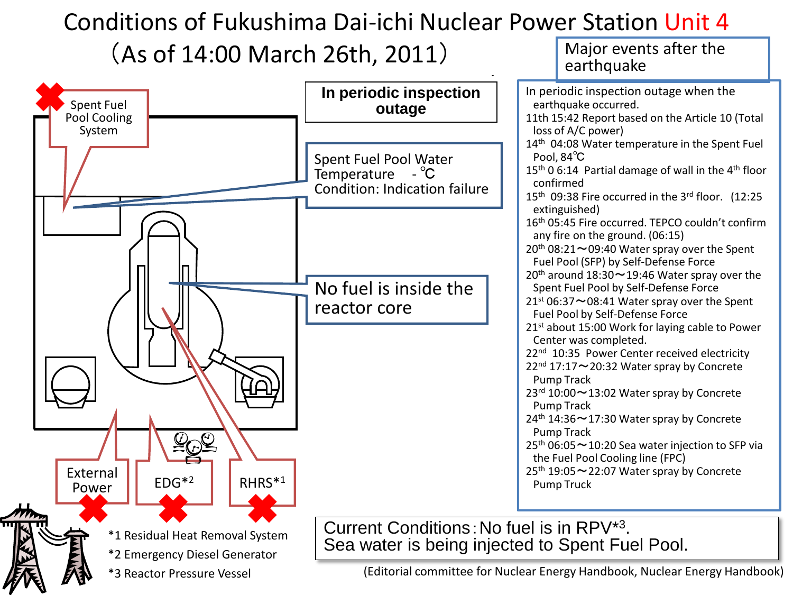#### $\blacksquare$ onditions of Fukushima Dai-ichi Nuclear Power Station Unit Conditions of Fukushima Dai-ichi Nuclear Power Station Unit 4  $(As of 14:00 March 26th, 2011)$  Major events after the



\*3 Reactor Pressure Vessel (Editorial committee for Nuclear Energy Handbook, Nuclear Energy Handbook)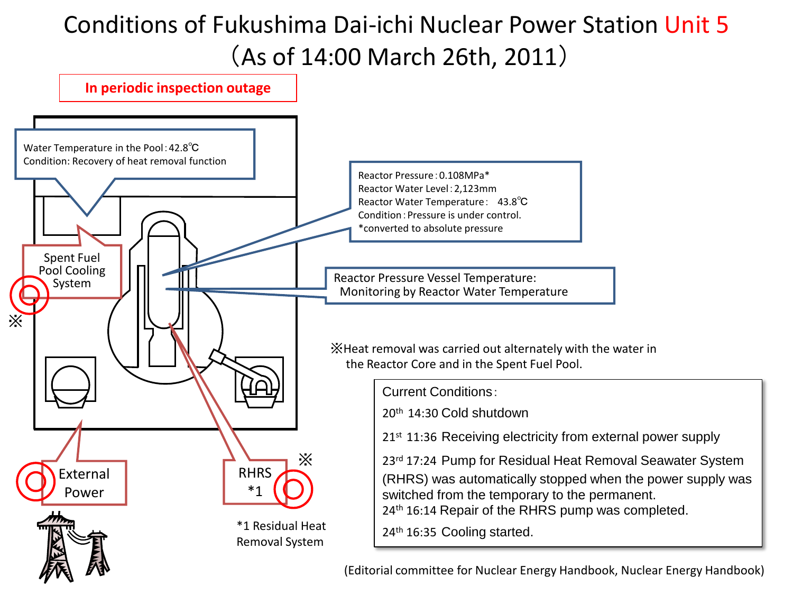# Conditions of Fukushima Dai-ichi Nuclear Power Station Unit 5 (As of 14:00 March 26th, 2011)